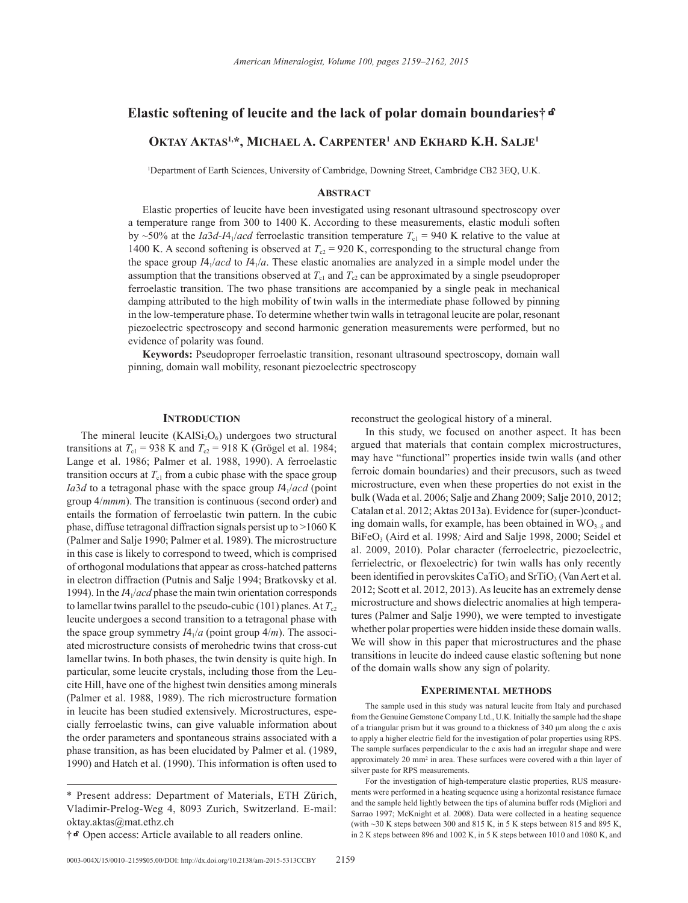# **Elastic softening of leucite and the lack of polar domain boundaries†**k

# **Oktay Aktas1,\*, Michael A. Carpenter1 and Ekhard K.H. Salje1**

1 Department of Earth Sciences, University of Cambridge, Downing Street, Cambridge CB2 3EQ, U.K.

# **Abstract**

Elastic properties of leucite have been investigated using resonant ultrasound spectroscopy over a temperature range from 300 to 1400 K. According to these measurements, elastic moduli soften by  $\sim$ 50% at the *Ia3d-I*4<sub>1</sub>/*acd* ferroelastic transition temperature  $T_{c1}$  = 940 K relative to the value at 1400 K. A second softening is observed at  $T_{c2} = 920$  K, corresponding to the structural change from the space group  $I4_1/acd$  to  $I4_1/a$ . These elastic anomalies are analyzed in a simple model under the assumption that the transitions observed at  $T_{c1}$  and  $T_{c2}$  can be approximated by a single pseudoproper ferroelastic transition. The two phase transitions are accompanied by a single peak in mechanical damping attributed to the high mobility of twin walls in the intermediate phase followed by pinning in the low-temperature phase. To determine whether twin walls in tetragonal leucite are polar, resonant piezoelectric spectroscopy and second harmonic generation measurements were performed, but no evidence of polarity was found.

**Keywords:** Pseudoproper ferroelastic transition, resonant ultrasound spectroscopy, domain wall pinning, domain wall mobility, resonant piezoelectric spectroscopy

# **Introduction**

The mineral leucite  $(KAISi<sub>2</sub>O<sub>6</sub>)$  undergoes two structural transitions at  $T_{c1}$  = 938 K and  $T_{c2}$  = 918 K (Grögel et al. 1984; Lange et al. 1986; Palmer et al. 1988, 1990). A ferroelastic transition occurs at  $T<sub>cl</sub>$  from a cubic phase with the space group *Ia*3*d* to a tetragonal phase with the space group *I*4<sub>1</sub>/*acd* (point group 4/*mmm*). The transition is continuous (second order) and entails the formation of ferroelastic twin pattern. In the cubic phase, diffuse tetragonal diffraction signals persist up to >1060 K (Palmer and Salje 1990; Palmer et al. 1989). The microstructure in this case is likely to correspond to tweed, which is comprised of orthogonal modulations that appear as cross-hatched patterns in electron diffraction (Putnis and Salje 1994; Bratkovsky et al. 1994). In the *I*41/*acd* phase the main twin orientation corresponds to lamellar twins parallel to the pseudo-cubic (101) planes. At  $T_{c2}$ leucite undergoes a second transition to a tetragonal phase with the space group symmetry  $I4_1/a$  (point group  $4/m$ ). The associated microstructure consists of merohedric twins that cross-cut lamellar twins. In both phases, the twin density is quite high. In particular, some leucite crystals, including those from the Leucite Hill, have one of the highest twin densities among minerals (Palmer et al. 1988, 1989). The rich microstructure formation in leucite has been studied extensively. Microstructures, especially ferroelastic twins, can give valuable information about the order parameters and spontaneous strains associated with a phase transition, as has been elucidated by Palmer et al. (1989, 1990) and Hatch et al. (1990). This information is often used to reconstruct the geological history of a mineral.

In this study, we focused on another aspect. It has been argued that materials that contain complex microstructures, may have "functional" properties inside twin walls (and other ferroic domain boundaries) and their precusors, such as tweed microstructure, even when these properties do not exist in the bulk (Wada et al. 2006; Salje and Zhang 2009; Salje 2010, 2012; Catalan et al. 2012; Aktas 2013a). Evidence for (super-)conducting domain walls, for example, has been obtained in  $WO_{3-\delta}$  and BiFeO3 (Aird et al. 1998*;* Aird and Salje 1998, 2000; Seidel et al. 2009, 2010). Polar character (ferroelectric, piezoelectric, ferrielectric, or flexoelectric) for twin walls has only recently been identified in perovskites CaTiO<sub>3</sub> and SrTiO<sub>3</sub> (Van Aert et al. 2012; Scott et al. 2012, 2013). As leucite has an extremely dense microstructure and shows dielectric anomalies at high temperatures (Palmer and Salje 1990), we were tempted to investigate whether polar properties were hidden inside these domain walls. We will show in this paper that microstructures and the phase transitions in leucite do indeed cause elastic softening but none of the domain walls show any sign of polarity.

## **Experimental methods**

The sample used in this study was natural leucite from Italy and purchased from the Genuine Gemstone Company Ltd., U.K. Initially the sample had the shape of a triangular prism but it was ground to a thickness of 340 μm along the c axis to apply a higher electric field for the investigation of polar properties using RPS. The sample surfaces perpendicular to the c axis had an irregular shape and were approximately 20 mm<sup>2</sup> in area. These surfaces were covered with a thin layer of silver paste for RPS measurements.

For the investigation of high-temperature elastic properties, RUS measurements were performed in a heating sequence using a horizontal resistance furnace and the sample held lightly between the tips of alumina buffer rods (Migliori and Sarrao 1997; McKnight et al. 2008). Data were collected in a heating sequence (with  $\sim$ 30 K steps between 300 and 815 K, in 5 K steps between 815 and 895 K, in 2 K steps between 896 and 1002 K, in 5 K steps between 1010 and 1080 K, and

<sup>\*</sup> Present address: Department of Materials, ETH Zürich, Vladimir-Prelog-Weg 4, 8093 Zurich, Switzerland. E-mail: oktay.aktas@mat.ethz.ch

<sup>†</sup>**f** Open access: Article available to all readers online.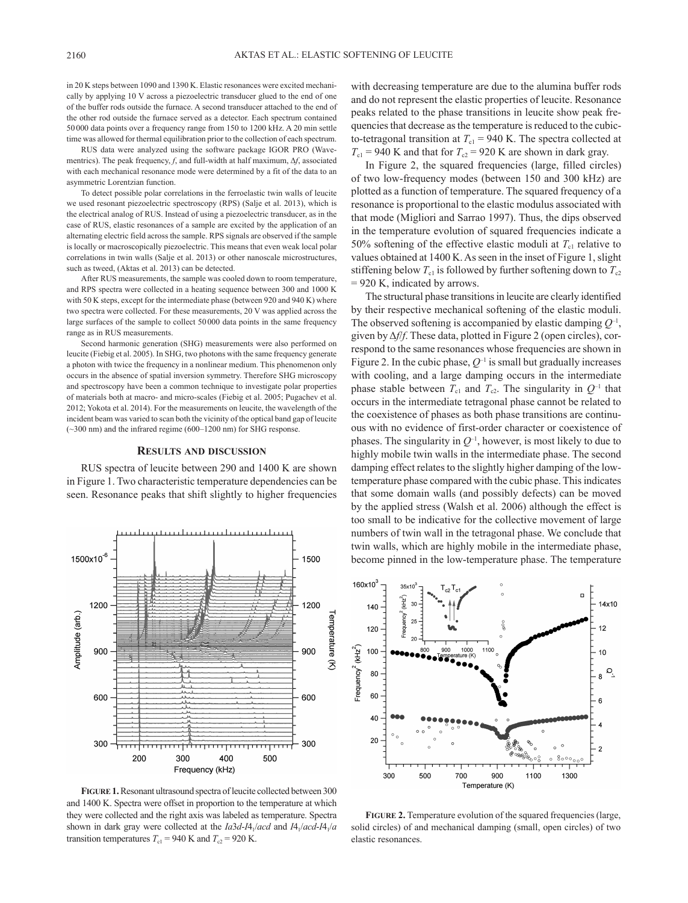in 20 K steps between 1090 and 1390 K. Elastic resonances were excited mechanically by applying 10 V across a piezoelectric transducer glued to the end of one of the buffer rods outside the furnace. A second transducer attached to the end of the other rod outside the furnace served as a detector. Each spectrum contained 50000 data points over a frequency range from 150 to 1200 kHz. A 20 min settle time was allowed for thermal equilibration prior to the collection of each spectrum.

RUS data were analyzed using the software package IGOR PRO (Wavementrics). The peak frequency, *f*, and full-width at half maximum, Δ*f*, associated with each mechanical resonance mode were determined by a fit of the data to an asymmetric Lorentzian function.

To detect possible polar correlations in the ferroelastic twin walls of leucite we used resonant piezoelectric spectroscopy (RPS) (Salje et al. 2013), which is the electrical analog of RUS. Instead of using a piezoelectric transducer, as in the case of RUS, elastic resonances of a sample are excited by the application of an alternating electric field across the sample. RPS signals are observed if the sample is locally or macroscopically piezoelectric. This means that even weak local polar correlations in twin walls (Salje et al. 2013) or other nanoscale microstructures, such as tweed, (Aktas et al. 2013) can be detected.

After RUS measurements, the sample was cooled down to room temperature, and RPS spectra were collected in a heating sequence between 300 and 1000 K with 50 K steps, except for the intermediate phase (between 920 and 940 K) where two spectra were collected. For these measurements, 20 V was applied across the large surfaces of the sample to collect 50000 data points in the same frequency range as in RUS measurements.

Second harmonic generation (SHG) measurements were also performed on leucite (Fiebig et al. 2005). In SHG, two photons with the same frequency generate a photon with twice the frequency in a nonlinear medium. This phenomenon only occurs in the absence of spatial inversion symmetry. Therefore SHG microscopy and spectroscopy have been a common technique to investigate polar properties of materials both at macro- and micro-scales (Fiebig et al. 2005; Pugachev et al. 2012; Yokota et al. 2014). For the measurements on leucite, the wavelength of the incident beam was varied to scan both the vicinity of the optical band gap of leucite (~300 nm) and the infrared regime (600–1200 nm) for SHG response.

#### **Results and discussion**

RUS spectra of leucite between 290 and 1400 K are shown in Figure 1. Two characteristic temperature dependencies can be seen. Resonance peaks that shift slightly to higher frequencies



**Figure 1.** Resonant ultrasound spectra of leucite collected between 300 and 1400 K. Spectra were offset in proportion to the temperature at which they were collected and the right axis was labeled as temperature. Spectra shown in dark gray were collected at the *Ia*3*d*-*I*41/*acd* and *I*41/*acd*-*I*41/*a* transition temperatures  $T_{c1} = 940$  K and  $T_{c2} = 920$  K.

with decreasing temperature are due to the alumina buffer rods and do not represent the elastic properties of leucite. Resonance peaks related to the phase transitions in leucite show peak frequencies that decrease as the temperature is reduced to the cubicto-tetragonal transition at  $T_{c1}$  = 940 K. The spectra collected at  $T_{c1}$  = 940 K and that for  $T_{c2}$  = 920 K are shown in dark gray.

In Figure 2, the squared frequencies (large, filled circles) of two low-frequency modes (between 150 and 300 kHz) are plotted as a function of temperature. The squared frequency of a resonance is proportional to the elastic modulus associated with that mode (Migliori and Sarrao 1997). Thus, the dips observed in the temperature evolution of squared frequencies indicate a 50% softening of the effective elastic moduli at  $T_{c1}$  relative to values obtained at 1400 K. As seen in the inset of Figure 1, slight stiffening below  $T_{c1}$  is followed by further softening down to  $T_{c2}$ = 920 K, indicated by arrows.

The structural phase transitions in leucite are clearly identified by their respective mechanical softening of the elastic moduli. The observed softening is accompanied by elastic damping *Q*–1, given by Δ*f*/*f*. These data, plotted in Figure 2 (open circles), correspond to the same resonances whose frequencies are shown in Figure 2. In the cubic phase,  $Q^{-1}$  is small but gradually increases with cooling, and a large damping occurs in the intermediate phase stable between  $T_{c1}$  and  $T_{c2}$ . The singularity in  $Q^{-1}$  that occurs in the intermediate tetragonal phase cannot be related to the coexistence of phases as both phase transitions are continuous with no evidence of first-order character or coexistence of phases. The singularity in  $Q^{-1}$ , however, is most likely to due to highly mobile twin walls in the intermediate phase. The second damping effect relates to the slightly higher damping of the lowtemperature phase compared with the cubic phase. This indicates that some domain walls (and possibly defects) can be moved by the applied stress (Walsh et al. 2006) although the effect is too small to be indicative for the collective movement of large numbers of twin wall in the tetragonal phase. We conclude that twin walls, which are highly mobile in the intermediate phase, become pinned in the low-temperature phase. The temperature



**FIGURE 2.** Temperature evolution of the squared frequencies (large, solid circles) of and mechanical damping (small, open circles) of two elastic resonances.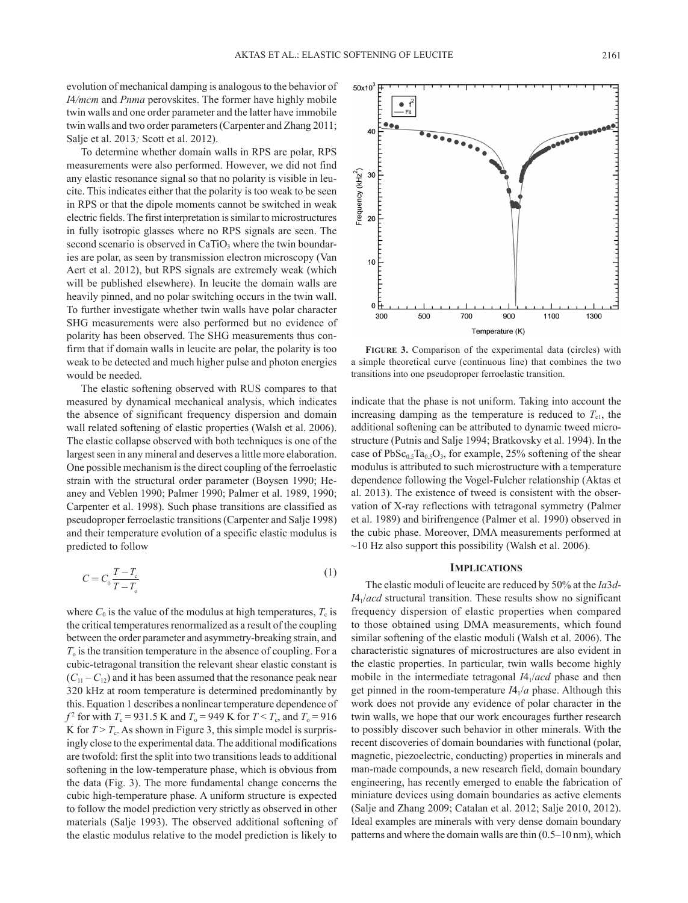evolution of mechanical damping is analogous to the behavior of *I*4*/mcm* and *Pnma* perovskites. The former have highly mobile twin walls and one order parameter and the latter have immobile twin walls and two order parameters (Carpenter and Zhang 2011; Salje et al. 2013*;* Scott et al. 2012).

To determine whether domain walls in RPS are polar, RPS measurements were also performed. However, we did not find any elastic resonance signal so that no polarity is visible in leucite. This indicates either that the polarity is too weak to be seen in RPS or that the dipole moments cannot be switched in weak electric fields. The first interpretation is similar to microstructures in fully isotropic glasses where no RPS signals are seen. The second scenario is observed in CaTiO<sub>3</sub> where the twin boundaries are polar, as seen by transmission electron microscopy (Van Aert et al. 2012), but RPS signals are extremely weak (which will be published elsewhere). In leucite the domain walls are heavily pinned, and no polar switching occurs in the twin wall. To further investigate whether twin walls have polar character SHG measurements were also performed but no evidence of polarity has been observed. The SHG measurements thus confirm that if domain walls in leucite are polar, the polarity is too weak to be detected and much higher pulse and photon energies would be needed.

The elastic softening observed with RUS compares to that measured by dynamical mechanical analysis, which indicates the absence of significant frequency dispersion and domain wall related softening of elastic properties (Walsh et al. 2006). The elastic collapse observed with both techniques is one of the largest seen in any mineral and deserves a little more elaboration. One possible mechanism is the direct coupling of the ferroelastic strain with the structural order parameter (Boysen 1990; Heaney and Veblen 1990; Palmer 1990; Palmer et al. 1989, 1990; Carpenter et al. 1998). Such phase transitions are classified as pseudoproper ferroelastic transitions (Carpenter and Salje 1998) and their temperature evolution of a specific elastic modulus is predicted to follow

$$
C = C_0 \frac{T - T_c}{T - T_o} \tag{1}
$$

where  $C_0$  is the value of the modulus at high temperatures,  $T_c$  is the critical temperatures renormalized as a result of the coupling between the order parameter and asymmetry-breaking strain, and  $T<sub>o</sub>$  is the transition temperature in the absence of coupling. For a cubic-tetragonal transition the relevant shear elastic constant is  $(C_{11} - C_{12})$  and it has been assumed that the resonance peak near 320 kHz at room temperature is determined predominantly by this. Equation 1 describes a nonlinear temperature dependence of *f*<sup>2</sup> for with *T*<sub>c</sub> = 931.5 K and *T*<sub>o</sub> = 949 K for *T* < *T*<sub>c</sub>, and *T*<sub>o</sub> = 916 K for  $T > T_c$ . As shown in Figure 3, this simple model is surprisingly close to the experimental data. The additional modifications are twofold: first the split into two transitions leads to additional softening in the low-temperature phase, which is obvious from the data (Fig. 3). The more fundamental change concerns the cubic high-temperature phase. A uniform structure is expected to follow the model prediction very strictly as observed in other materials (Salje 1993). The observed additional softening of the elastic modulus relative to the model prediction is likely to

FIGURE 3. Comparison of the experimental data (circles) with a simple theoretical curve (continuous line) that combines the two transitions into one pseudoproper ferroelastic transition.

indicate that the phase is not uniform. Taking into account the increasing damping as the temperature is reduced to  $T_{c1}$ , the additional softening can be attributed to dynamic tweed microstructure (Putnis and Salje 1994; Bratkovsky et al. 1994). In the case of  $PbSc_{0.5}Ta_{0.5}O_3$ , for example, 25% softening of the shear modulus is attributed to such microstructure with a temperature dependence following the Vogel-Fulcher relationship (Aktas et al. 2013). The existence of tweed is consistent with the observation of X-ray reflections with tetragonal symmetry (Palmer et al. 1989) and birifrengence (Palmer et al. 1990) observed in the cubic phase. Moreover, DMA measurements performed at ~10 Hz also support this possibility (Walsh et al. 2006).

### **Implications**

The elastic moduli of leucite are reduced by 50% at the *Ia*3*d*-*I*41/*acd* structural transition. These results show no significant frequency dispersion of elastic properties when compared to those obtained using DMA measurements, which found similar softening of the elastic moduli (Walsh et al. 2006). The characteristic signatures of microstructures are also evident in the elastic properties. In particular, twin walls become highly mobile in the intermediate tetragonal *IA*<sub>1</sub>/*acd* phase and then get pinned in the room-temperature *I*41/*a* phase. Although this work does not provide any evidence of polar character in the twin walls, we hope that our work encourages further research to possibly discover such behavior in other minerals. With the recent discoveries of domain boundaries with functional (polar, magnetic, piezoelectric, conducting) properties in minerals and man-made compounds, a new research field, domain boundary engineering, has recently emerged to enable the fabrication of miniature devices using domain boundaries as active elements (Salje and Zhang 2009; Catalan et al. 2012; Salje 2010, 2012). Ideal examples are minerals with very dense domain boundary patterns and where the domain walls are thin (0.5–10 nm), which